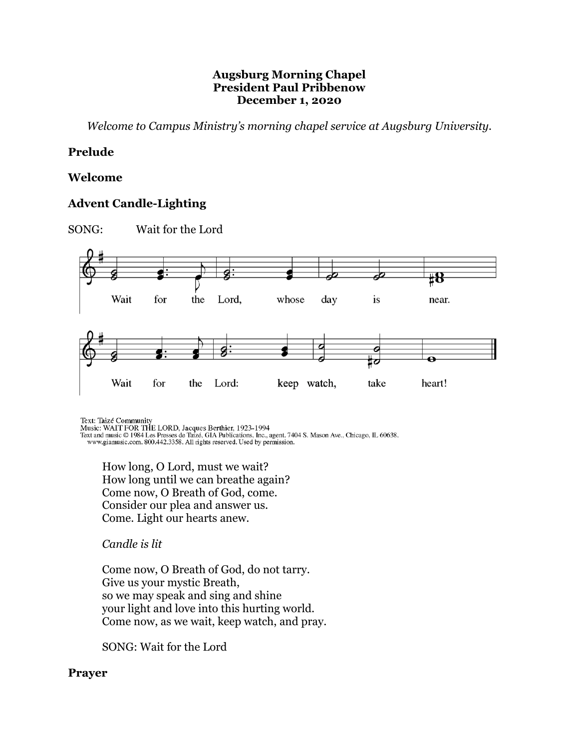#### **Augsburg Morning Chapel President Paul Pribbenow December 1, 2020**

*Welcome to Campus Ministry's morning chapel service at Augsburg University.*

## **Prelude**

#### **Welcome**

## **Advent Candle-Lighting**



Text: Taizé Community<br>Music: WAIT FOR THE LORD, Jacques Berthier, 1923-1994<br>Text and music © 1984 Les Presses de Taizé, GIA Publications, Inc., agent. 7404 S. Mason Ave., Chicago, IL 60638.<br>www.giamusic.com. 800.442.3358.

How long, O Lord, must we wait? How long until we can breathe again? Come now, O Breath of God, come. Consider our plea and answer us. Come. Light our hearts anew.

### *Candle is lit*

Come now, O Breath of God, do not tarry. Give us your mystic Breath, so we may speak and sing and shine your light and love into this hurting world. Come now, as we wait, keep watch, and pray.

SONG: Wait for the Lord

### **Prayer**